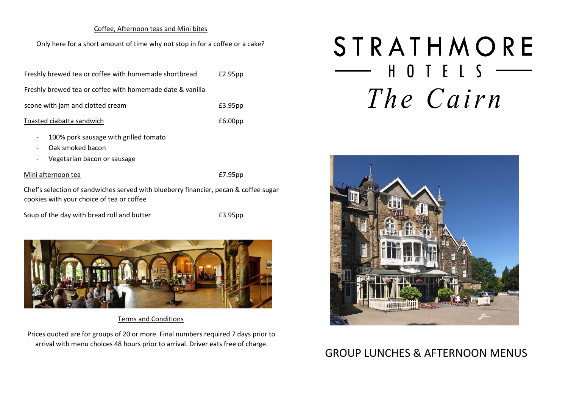### Coffee, Afternoon teas and Mini bites

Only here for a short amount of time why not stop in for a coffee or a cake?

| Freshly brewed tea or coffee with homemade shortbread     | £2.95pp             |
|-----------------------------------------------------------|---------------------|
| Freshly brewed tea or coffee with homemade date & vanilla |                     |
| scone with jam and clotted cream                          | £3.95pp             |
| Toasted ciabatta sandwich                                 | £6.00 <sub>pp</sub> |

- 100% pork sausage with grilled tomato
- Oak smoked bacon
- Vegetarian bacon or sausage

#### Mini afternoon tea **E7.95pp**

Chef's selection of sandwiches served with blueberry financier, pecan & coffee sugar cookies with your choice of tea or coffee

Soup of the day with bread roll and butter E3.95pp



## Terms and Conditions

Prices quoted are for groups of 20 or more. Final numbers required 7 days prior to arrival with menu choices 48 hours prior to arrival. Driver eats free of charge.

# STRATHMORE  $\begin{array}{cccccccccccccc} \textbf{H} & \textbf{O} & \textbf{I} & \textbf{E} & \textbf{I} & \textbf{S} & \textbf{---} \end{array}$ The Cairn



# GROUP LUNCHES & AFTERNOON MENUS